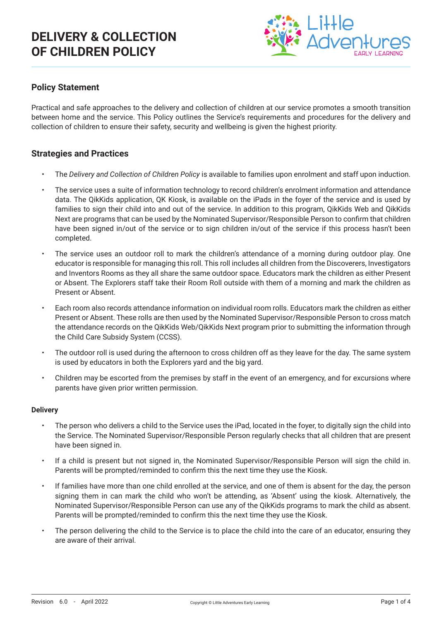## **DELIVERY & COLLECTION OF CHILDREN POLICY**



### **Policy Statement**

Practical and safe approaches to the delivery and collection of children at our service promotes a smooth transition between home and the service. This Policy outlines the Service's requirements and procedures for the delivery and collection of children to ensure their safety, security and wellbeing is given the highest priority.

#### **Strategies and Practices**

- The *Delivery and Collection of Children Policy* is available to families upon enrolment and staff upon induction.
- The service uses a suite of information technology to record children's enrolment information and attendance data. The QikKids application, QK Kiosk, is available on the iPads in the foyer of the service and is used by families to sign their child into and out of the service. In addition to this program, QikKids Web and QikKids Next are programs that can be used by the Nominated Supervisor/Responsible Person to confirm that children have been signed in/out of the service or to sign children in/out of the service if this process hasn't been completed.
- The service uses an outdoor roll to mark the children's attendance of a morning during outdoor play. One educator is responsible for managing this roll. This roll includes all children from the Discoverers, Investigators and Inventors Rooms as they all share the same outdoor space. Educators mark the children as either Present or Absent. The Explorers staff take their Room Roll outside with them of a morning and mark the children as Present or Absent.
- Each room also records attendance information on individual room rolls. Educators mark the children as either Present or Absent. These rolls are then used by the Nominated Supervisor/Responsible Person to cross match the attendance records on the QikKids Web/QikKids Next program prior to submitting the information through the Child Care Subsidy System (CCSS).
- The outdoor roll is used during the afternoon to cross children off as they leave for the day. The same system is used by educators in both the Explorers yard and the big yard.
- Children may be escorted from the premises by staff in the event of an emergency, and for excursions where parents have given prior written permission.

#### **Delivery**

- The person who delivers a child to the Service uses the iPad, located in the foyer, to digitally sign the child into the Service. The Nominated Supervisor/Responsible Person regularly checks that all children that are present have been signed in.
- If a child is present but not signed in, the Nominated Supervisor/Responsible Person will sign the child in. Parents will be prompted/reminded to confirm this the next time they use the Kiosk.
- If families have more than one child enrolled at the service, and one of them is absent for the day, the person signing them in can mark the child who won't be attending, as 'Absent' using the kiosk. Alternatively, the Nominated Supervisor/Responsible Person can use any of the QikKids programs to mark the child as absent. Parents will be prompted/reminded to confirm this the next time they use the Kiosk.
- The person delivering the child to the Service is to place the child into the care of an educator, ensuring they are aware of their arrival.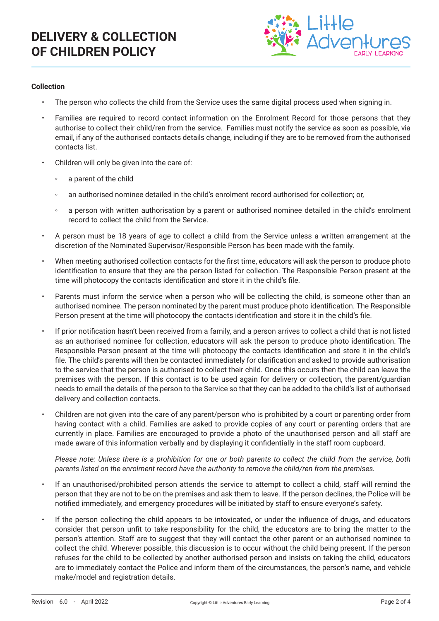

#### **Collection**

- The person who collects the child from the Service uses the same digital process used when signing in.
- Families are required to record contact information on the Enrolment Record for those persons that they authorise to collect their child/ren from the service. Families must notify the service as soon as possible, via email, if any of the authorised contacts details change, including if they are to be removed from the authorised contacts list.
- Children will only be given into the care of:
	- a parent of the child
	- an authorised nominee detailed in the child's enrolment record authorised for collection; or,
	- a person with written authorisation by a parent or authorised nominee detailed in the child's enrolment record to collect the child from the Service.
- A person must be 18 years of age to collect a child from the Service unless a written arrangement at the discretion of the Nominated Supervisor/Responsible Person has been made with the family.
- When meeting authorised collection contacts for the first time, educators will ask the person to produce photo identification to ensure that they are the person listed for collection. The Responsible Person present at the time will photocopy the contacts identification and store it in the child's file.
- Parents must inform the service when a person who will be collecting the child, is someone other than an authorised nominee. The person nominated by the parent must produce photo identification. The Responsible Person present at the time will photocopy the contacts identification and store it in the child's file.
- If prior notification hasn't been received from a family, and a person arrives to collect a child that is not listed as an authorised nominee for collection, educators will ask the person to produce photo identification. The Responsible Person present at the time will photocopy the contacts identification and store it in the child's file. The child's parents will then be contacted immediately for clarification and asked to provide authorisation to the service that the person is authorised to collect their child. Once this occurs then the child can leave the premises with the person. If this contact is to be used again for delivery or collection, the parent/guardian needs to email the details of the person to the Service so that they can be added to the child's list of authorised delivery and collection contacts.
- Children are not given into the care of any parent/person who is prohibited by a court or parenting order from having contact with a child. Families are asked to provide copies of any court or parenting orders that are currently in place. Families are encouraged to provide a photo of the unauthorised person and all staff are made aware of this information verbally and by displaying it confidentially in the staff room cupboard.

*Please note: Unless there is a prohibition for one or both parents to collect the child from the service, both parents listed on the enrolment record have the authority to remove the child/ren from the premises.* 

- If an unauthorised/prohibited person attends the service to attempt to collect a child, staff will remind the person that they are not to be on the premises and ask them to leave. If the person declines, the Police will be notified immediately, and emergency procedures will be initiated by staff to ensure everyone's safety.
- If the person collecting the child appears to be intoxicated, or under the influence of drugs, and educators consider that person unfit to take responsibility for the child, the educators are to bring the matter to the person's attention. Staff are to suggest that they will contact the other parent or an authorised nominee to collect the child. Wherever possible, this discussion is to occur without the child being present. If the person refuses for the child to be collected by another authorised person and insists on taking the child, educators are to immediately contact the Police and inform them of the circumstances, the person's name, and vehicle make/model and registration details.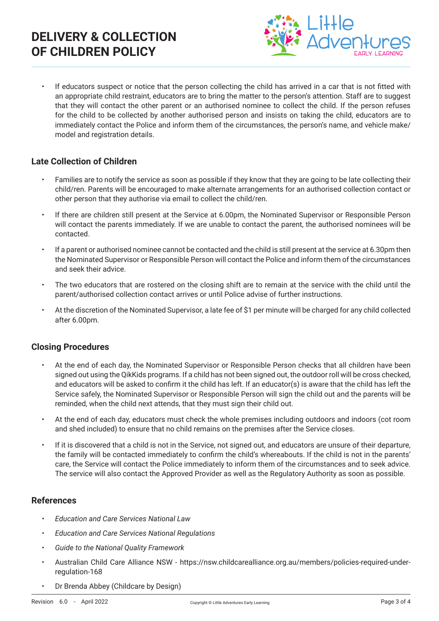# **DELIVERY & COLLECTION OF CHILDREN POLICY**



• If educators suspect or notice that the person collecting the child has arrived in a car that is not fitted with an appropriate child restraint, educators are to bring the matter to the person's attention. Staff are to suggest that they will contact the other parent or an authorised nominee to collect the child. If the person refuses for the child to be collected by another authorised person and insists on taking the child, educators are to immediately contact the Police and inform them of the circumstances, the person's name, and vehicle make/ model and registration details.

### **Late Collection of Children**

- Families are to notify the service as soon as possible if they know that they are going to be late collecting their child/ren. Parents will be encouraged to make alternate arrangements for an authorised collection contact or other person that they authorise via email to collect the child/ren.
- If there are children still present at the Service at 6.00pm, the Nominated Supervisor or Responsible Person will contact the parents immediately. If we are unable to contact the parent, the authorised nominees will be contacted.
- If a parent or authorised nominee cannot be contacted and the child is still present at the service at 6.30pm then the Nominated Supervisor or Responsible Person will contact the Police and inform them of the circumstances and seek their advice.
- The two educators that are rostered on the closing shift are to remain at the service with the child until the parent/authorised collection contact arrives or until Police advise of further instructions.
- At the discretion of the Nominated Supervisor, a late fee of \$1 per minute will be charged for any child collected after 6.00pm.

## **Closing Procedures**

- At the end of each day, the Nominated Supervisor or Responsible Person checks that all children have been signed out using the QikKids programs. If a child has not been signed out, the outdoor roll will be cross checked, and educators will be asked to confirm it the child has left. If an educator(s) is aware that the child has left the Service safely, the Nominated Supervisor or Responsible Person will sign the child out and the parents will be reminded, when the child next attends, that they must sign their child out.
- At the end of each day, educators must check the whole premises including outdoors and indoors (cot room and shed included) to ensure that no child remains on the premises after the Service closes.
- If it is discovered that a child is not in the Service, not signed out, and educators are unsure of their departure, the family will be contacted immediately to confirm the child's whereabouts. If the child is not in the parents' care, the Service will contact the Police immediately to inform them of the circumstances and to seek advice. The service will also contact the Approved Provider as well as the Regulatory Authority as soon as possible.

#### **References**

- *• Education and Care Services National Law*
- *• Education and Care Services National Regulations*
- *• Guide to the National Quality Framework*
- Australian Child Care Alliance NSW https://nsw.childcarealliance.org.au/members/policies-required-underregulation-168
- Dr Brenda Abbey (Childcare by Design)